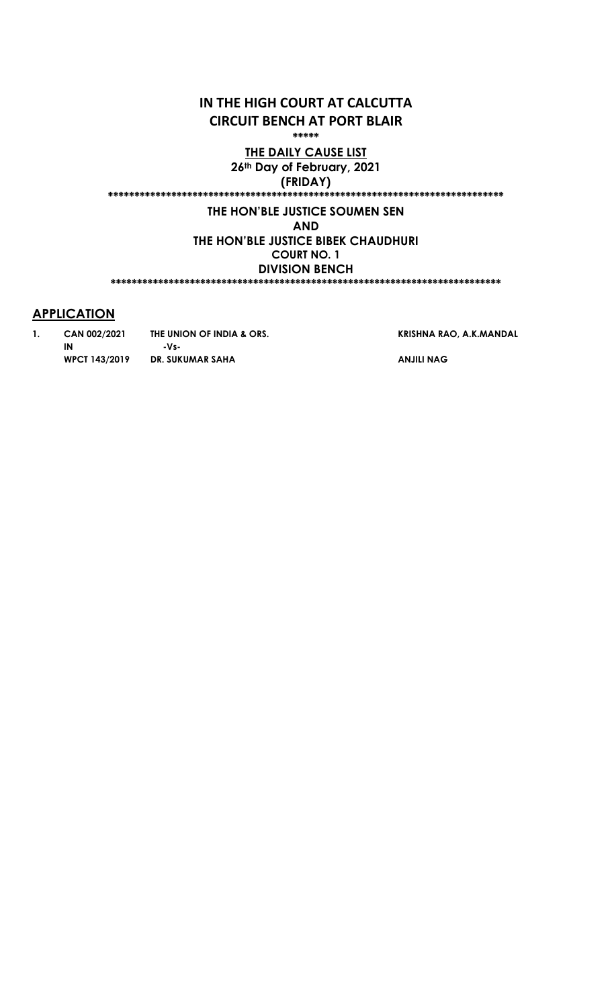# IN THE HIGH COURT AT CALCUTTA CIRCUIT BENCH AT PORT BLAIR

\*\*\*\*\*

THE DAILY CAUSE LIST 26th Day of February, 2021 (FRIDAY)

\*\*\*\*\*\*\*\*\*\*\*\*\*\*\*\*\*\*\*\*\*\*\*\*\*\*\*\*\*\*\*\*\*\*\*\*\*\*\*\*\*\*\*\*\*\*\*\*\*\*\*\*\*\*\*\*\*\*\*\*\*\*\*\*\*\*\*\*\*\*\*\*\*\*\*

### THE HON'BLE JUSTICE SOUMEN SEN

AND

THE HON'BLE JUSTICE BIBEK CHAUDHURI COURT NO. 1 DIVISION BENCH \*\*\*\*\*\*\*\*\*\*\*\*\*\*\*\*\*\*\*\*\*\*\*\*\*\*\*\*\*\*\*\*\*\*\*\*\*\*\*\*\*\*\*\*\*\*\*\*\*\*\*\*\*\*\*\*\*\*\*\*\*\*\*\*\*\*\*\*\*\*\*\*\*\*

## **APPLICATION**

IN

1. CAN 002/2021 THE UNION OF INDIA & ORS. WPCT 143/2019 DR. SUKUMAR SAHA -VsKRISHNA RAO, A.K.MANDAL

ANJILI NAG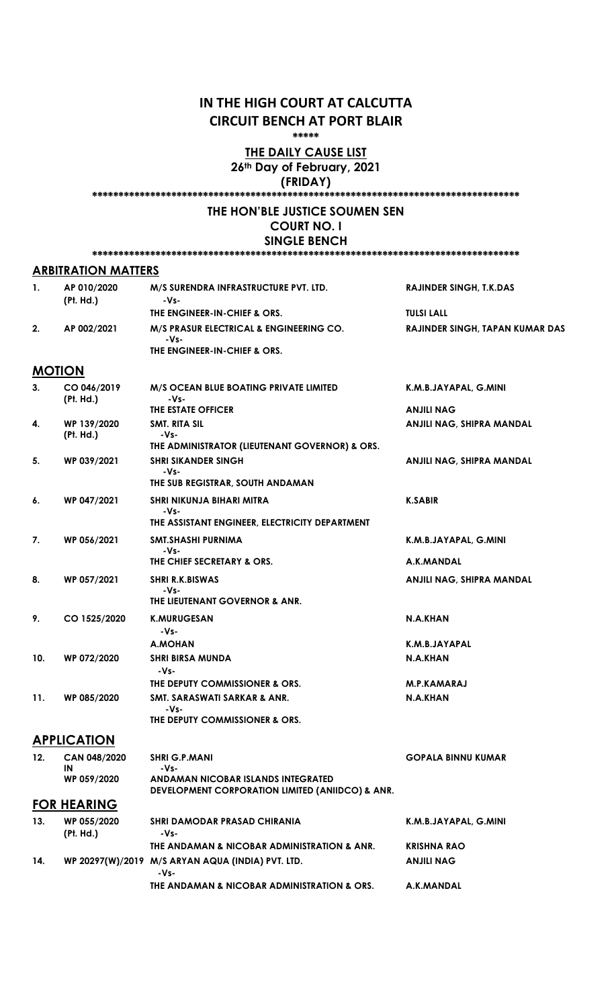# IN THE HIGH COURT AT CALCUTTA CIRCUIT BENCH AT PORT BLAIR

\*\*\*\*\*

#### **THE DAILY CAUSE LIST** 26th Day of February, 2021

(FRIDAY)

### \*\*\*\*\*\*\*\*\*\*\*\*\*\*\*\*\*\*\*\*\*\*\*\*\*\*\*\*\*\*\*\*\*\*\*\*\*\*\*\*\*\*\*\*\*\*\*\*\*\*\*\*\*\*\*\*\*\*\*\*\*\*\*\*\*\*\*\*\*\*\*\*\*\*\*\*\*\*\*\*\*

#### THE HON'BLE JUSTICE SOUMEN SEN COURT NO. I SINGLE BENCH

\*\*\*\*\*\*\*\*\*\*\*\*\*\*\*\*\*\*\*\*\*\*\*\*\*\*\*\*\*\*\*\*\*\*\*\*\*\*\*\*\*\*\*\*\*\*\*\*\*\*\*\*\*\*\*\*\*\*\*\*\*\*\*\*\*\*\*\*\*\*\*\*\*\*\*\*\*\*\*\*\*

#### ARBITRATION MATTERS

|    | AP 010/2020<br>(Pt. Hd.) | M/S SURENDRA INFRASTRUCTURE PVT. LTD.<br>-Vs-                                              | <b>RAJINDER SINGH. T.K.DAS</b>         |
|----|--------------------------|--------------------------------------------------------------------------------------------|----------------------------------------|
|    |                          | THE ENGINEER-IN-CHIEF & ORS.                                                               | <b>TULSI LALL</b>                      |
| 2. | AP 002/2021              | <b>M/S PRASUR ELECTRICAL &amp; ENGINEERING CO.</b><br>-Vs-<br>THE ENGINEER-IN-CHIEF & ORS. | <b>RAJINDER SINGH, TAPAN KUMAR DAS</b> |

### **MOTION**

| 3.  | CO 046/2019<br>(Pt. Hd.) | M/S OCEAN BLUE BOATING PRIVATE LIMITED<br>$-Vs-$                                       | K.M.B.JAYAPAL, G.MINI     |
|-----|--------------------------|----------------------------------------------------------------------------------------|---------------------------|
|     |                          | THE ESTATE OFFICER                                                                     | <b>ANJILI NAG</b>         |
| 4.  | WP 139/2020<br>(Pt. Hd.) | SMT. RITA SIL<br>-Vs-                                                                  | ANJILI NAG, SHIPRA MANDAL |
|     |                          | THE ADMINISTRATOR (LIEUTENANT GOVERNOR) & ORS.                                         |                           |
| 5.  | WP 039/2021              | <b>SHRI SIKANDER SINGH</b><br>$-Vs$ -                                                  | ANJILI NAG, SHIPRA MANDAL |
|     |                          | THE SUB REGISTRAR, SOUTH ANDAMAN                                                       |                           |
| 6.  | WP 047/2021              | SHRI NIKUNJA BIHARI MITRA<br>-Vs-                                                      | <b>K.SABIR</b>            |
|     |                          | THE ASSISTANT ENGINEER, ELECTRICITY DEPARTMENT                                         |                           |
| 7.  | WP 056/2021              | SMT.SHASHI PURNIMA<br>-Vs-                                                             | K.M.B.JAYAPAL, G.MINI     |
|     |                          | THE CHIEF SECRETARY & ORS.                                                             | A.K.MANDAL                |
| 8.  | WP 057/2021              | <b>SHRI R.K.BISWAS</b><br>-Vs-                                                         | ANJILI NAG, SHIPRA MANDAL |
|     |                          | THE LIEUTENANT GOVERNOR & ANR.                                                         |                           |
| 9.  | CO 1525/2020             | <b>K.MURUGESAN</b><br>-Vs-                                                             | N.A.KHAN                  |
|     |                          | <b>A.MOHAN</b>                                                                         | K.M.B.JAYAPAL             |
| 10. | WP 072/2020              | <b>SHRI BIRSA MUNDA</b><br>-Vs-                                                        | N.A.KHAN                  |
|     |                          | THE DEPUTY COMMISSIONER & ORS.                                                         | <b>M.P.KAMARAJ</b>        |
| 11. | WP 085/2020              | SMT. SARASWATI SARKAR & ANR.<br>-Vs-                                                   | N.A.KHAN                  |
|     |                          | THE DEPUTY COMMISSIONER & ORS.                                                         |                           |
|     | <b>APPLICATION</b>       |                                                                                        |                           |
| 12. | CAN 048/2020<br>IN       | <b>SHRI G.P.MANI</b><br>-Vs-                                                           | <b>GOPALA BINNU KUMAR</b> |
|     | WP 059/2020              | ANDAMAN NICOBAR ISLANDS INTEGRATED<br>DEVELOPMENT CORPORATION LIMITED (ANIIDCO) & ANR. |                           |
|     | <b>FOR HEARING</b>       |                                                                                        |                           |
| 13. | WP 055/2020<br>(Pt. Hd.) | <b>SHRI DAMODAR PRASAD CHIRANIA</b><br>-Vs-                                            | K.M.B.JAYAPAL, G.MINI     |
|     |                          | THE ANDAMAN & NICOBAR ADMINISTRATION & ANR.                                            | <b>KRISHNA RAO</b>        |

THE ANDAMAN & NICOBAR ADMINISTRATION & ORS.

ANJILI NAG

A.K.MANDAL

14. WP 20297(W)/2019 M/S ARYAN AQUA (INDIA) PVT. LTD. -Vs-